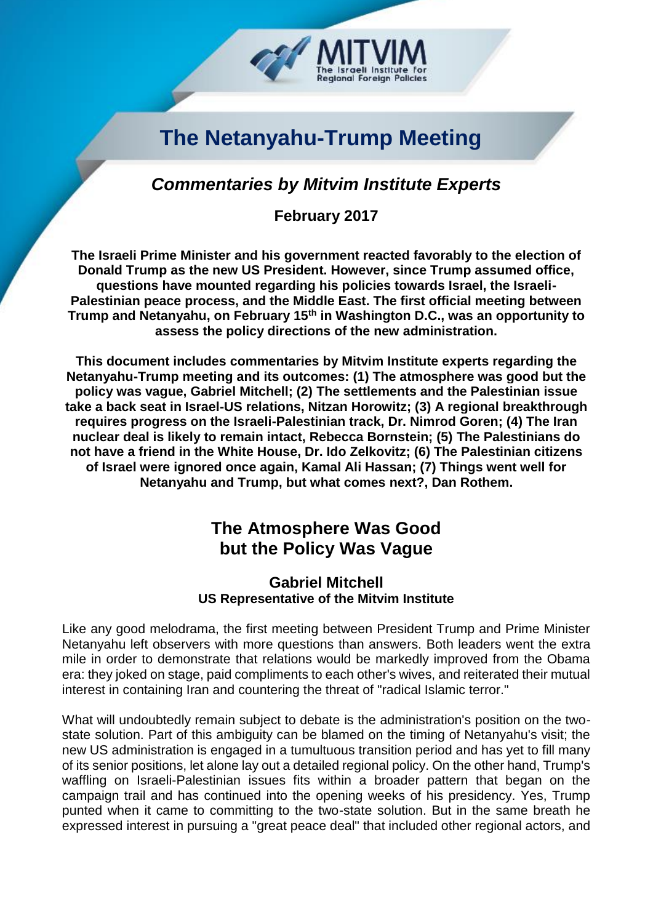# **The Netanyahu-Trump Meeting**

egional Foreign Policies

### *Commentaries by Mitvim Institute Experts*

**February 2017**

**The Israeli Prime Minister and his government reacted favorably to the election of Donald Trump as the new US President. However, since Trump assumed office, questions have mounted regarding his policies towards Israel, the Israeli-Palestinian peace process, and the Middle East. The first official meeting between Trump and Netanyahu, on February 15th in Washington D.C., was an opportunity to assess the policy directions of the new administration.** 

**This document includes commentaries by Mitvim Institute experts regarding the Netanyahu-Trump meeting and its outcomes: (1) The atmosphere was good but the policy was vague, Gabriel Mitchell; (2) The settlements and the Palestinian issue take a back seat in Israel-US relations, Nitzan Horowitz; (3) A regional breakthrough requires progress on the Israeli-Palestinian track, Dr. Nimrod Goren; (4) The Iran nuclear deal is likely to remain intact, Rebecca Bornstein; (5) The Palestinians do not have a friend in the White House, Dr. Ido Zelkovitz; (6) The Palestinian citizens of Israel were ignored once again, Kamal Ali Hassan; (7) Things went well for Netanyahu and Trump, but what comes next?, Dan Rothem.**

## **The Atmosphere Was Good but the Policy Was Vague**

#### **Gabriel Mitchell US Representative of the Mitvim Institute**

Like any good melodrama, the first meeting between President Trump and Prime Minister Netanyahu left observers with more questions than answers. Both leaders went the extra mile in order to demonstrate that relations would be markedly improved from the Obama era: they joked on stage, paid compliments to each other's wives, and reiterated their mutual interest in containing Iran and countering the threat of "radical Islamic terror."

What will undoubtedly remain subject to debate is the administration's position on the twostate solution. Part of this ambiguity can be blamed on the timing of Netanyahu's visit; the new US administration is engaged in a tumultuous transition period and has yet to fill many of its senior positions, let alone lay out a detailed regional policy. On the other hand, Trump's waffling on Israeli-Palestinian issues fits within a broader pattern that began on the campaign trail and has continued into the opening weeks of his presidency. Yes, Trump punted when it came to committing to the two-state solution. But in the same breath he expressed interest in pursuing a "great peace deal" that included other regional actors, and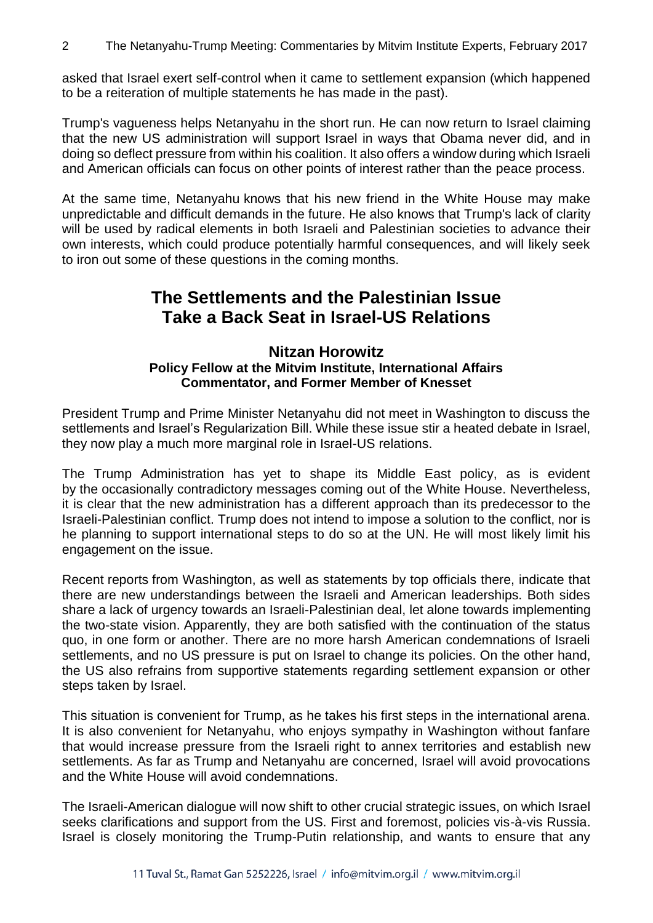asked that Israel exert self-control when it came to settlement expansion (which happened to be a reiteration of multiple statements he has made in the past).

Trump's vagueness helps Netanyahu in the short run. He can now return to Israel claiming that the new US administration will support Israel in ways that Obama never did, and in doing so deflect pressure from within his coalition. It also offers a window during which Israeli and American officials can focus on other points of interest rather than the peace process.

At the same time, Netanyahu knows that his new friend in the White House may make unpredictable and difficult demands in the future. He also knows that Trump's lack of clarity will be used by radical elements in both Israeli and Palestinian societies to advance their own interests, which could produce potentially harmful consequences, and will likely seek to iron out some of these questions in the coming months.

### **The Settlements and the Palestinian Issue Take a Back Seat in Israel-US Relations**

#### **Nitzan Horowitz Policy Fellow at the Mitvim Institute, International Affairs Commentator, and Former Member of Knesset**

President Trump and Prime Minister Netanyahu did not meet in Washington to discuss the settlements and Israel's Regularization Bill. While these issue stir a heated debate in Israel, they now play a much more marginal role in Israel-US relations.

The Trump Administration has yet to shape its Middle East policy, as is evident by the occasionally contradictory messages coming out of the White House. Nevertheless, it is clear that the new administration has a different approach than its predecessor to the Israeli-Palestinian conflict. Trump does not intend to impose a solution to the conflict, nor is he planning to support international steps to do so at the UN. He will most likely limit his engagement on the issue.

Recent reports from Washington, as well as statements by top officials there, indicate that there are new understandings between the Israeli and American leaderships. Both sides share a lack of urgency towards an Israeli-Palestinian deal, let alone towards implementing the two-state vision. Apparently, they are both satisfied with the continuation of the status quo, in one form or another. There are no more harsh American condemnations of Israeli settlements, and no US pressure is put on Israel to change its policies. On the other hand, the US also refrains from supportive statements regarding settlement expansion or other steps taken by Israel.

This situation is convenient for Trump, as he takes his first steps in the international arena. It is also convenient for Netanyahu, who enjoys sympathy in Washington without fanfare that would increase pressure from the Israeli right to annex territories and establish new settlements. As far as Trump and Netanyahu are concerned, Israel will avoid provocations and the White House will avoid condemnations.

The Israeli-American dialogue will now shift to other crucial strategic issues, on which Israel seeks clarifications and support from the US. First and foremost, policies vis-à-vis Russia. Israel is closely monitoring the Trump-Putin relationship, and wants to ensure that any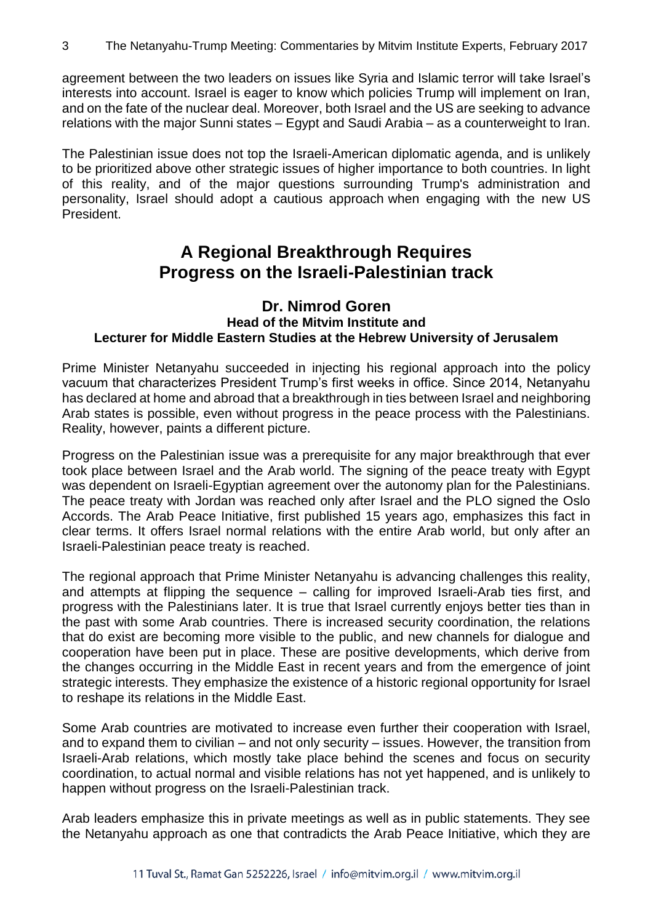agreement between the two leaders on issues like Syria and Islamic terror will take Israel's interests into account. Israel is eager to know which policies Trump will implement on Iran, and on the fate of the nuclear deal. Moreover, both Israel and the US are seeking to advance relations with the major Sunni states – Egypt and Saudi Arabia – as a counterweight to Iran.

The Palestinian issue does not top the Israeli-American diplomatic agenda, and is unlikely to be prioritized above other strategic issues of higher importance to both countries. In light of this reality, and of the major questions surrounding Trump's administration and personality, Israel should adopt a cautious approach when engaging with the new US President.

### **A Regional Breakthrough Requires Progress on the Israeli-Palestinian track**

#### **Dr. Nimrod Goren Head of the Mitvim Institute and Lecturer for Middle Eastern Studies at the Hebrew University of Jerusalem**

Prime Minister Netanyahu succeeded in injecting his regional approach into the policy vacuum that characterizes President Trump's first weeks in office. Since 2014, Netanyahu has declared at home and abroad that a breakthrough in ties between Israel and neighboring Arab states is possible, even without progress in the peace process with the Palestinians. Reality, however, paints a different picture.

Progress on the Palestinian issue was a prerequisite for any major breakthrough that ever took place between Israel and the Arab world. The signing of the peace treaty with Egypt was dependent on Israeli-Egyptian agreement over the autonomy plan for the Palestinians. The peace treaty with Jordan was reached only after Israel and the PLO signed the Oslo Accords. The Arab Peace Initiative, first published 15 years ago, emphasizes this fact in clear terms. It offers Israel normal relations with the entire Arab world, but only after an Israeli-Palestinian peace treaty is reached.

The regional approach that Prime Minister Netanyahu is advancing challenges this reality, and attempts at flipping the sequence – calling for improved Israeli-Arab ties first, and progress with the Palestinians later. It is true that Israel currently enjoys better ties than in the past with some Arab countries. There is increased security coordination, the relations that do exist are becoming more visible to the public, and new channels for dialogue and cooperation have been put in place. These are positive developments, which derive from the changes occurring in the Middle East in recent years and from the emergence of joint strategic interests. They emphasize the existence of a historic regional opportunity for Israel to reshape its relations in the Middle East.

Some Arab countries are motivated to increase even further their cooperation with Israel, and to expand them to civilian – and not only security – issues. However, the transition from Israeli-Arab relations, which mostly take place behind the scenes and focus on security coordination, to actual normal and visible relations has not yet happened, and is unlikely to happen without progress on the Israeli-Palestinian track.

Arab leaders emphasize this in private meetings as well as in public statements. They see the Netanyahu approach as one that contradicts the Arab Peace Initiative, which they are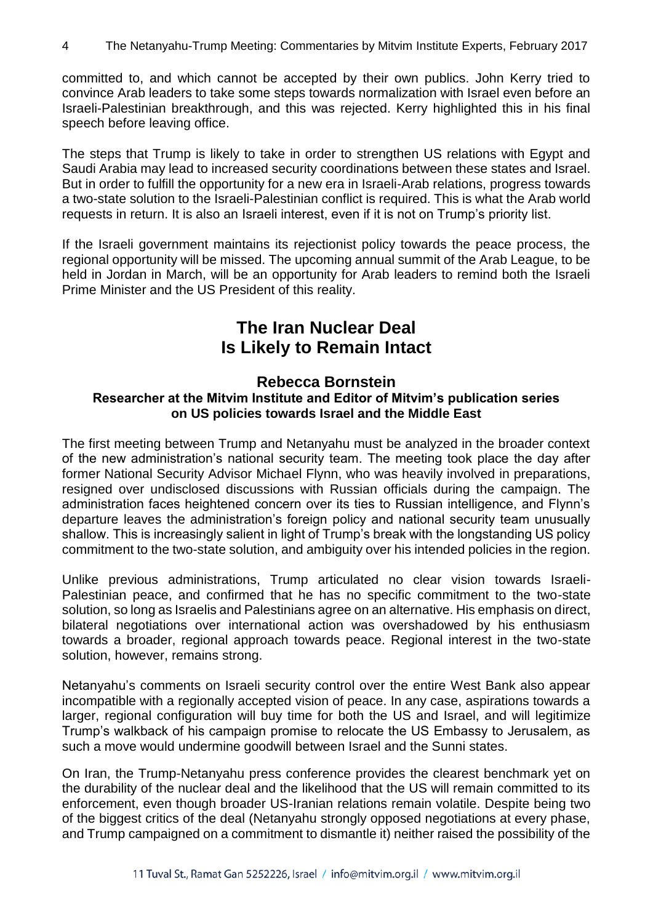committed to, and which cannot be accepted by their own publics. John Kerry tried to convince Arab leaders to take some steps towards normalization with Israel even before an Israeli-Palestinian breakthrough, and this was rejected. Kerry highlighted this in his final speech before leaving office.

The steps that Trump is likely to take in order to strengthen US relations with Egypt and Saudi Arabia may lead to increased security coordinations between these states and Israel. But in order to fulfill the opportunity for a new era in Israeli-Arab relations, progress towards a two-state solution to the Israeli-Palestinian conflict is required. This is what the Arab world requests in return. It is also an Israeli interest, even if it is not on Trump's priority list.

If the Israeli government maintains its rejectionist policy towards the peace process, the regional opportunity will be missed. The upcoming annual summit of the Arab League, to be held in Jordan in March, will be an opportunity for Arab leaders to remind both the Israeli Prime Minister and the US President of this reality.

### **The Iran Nuclear Deal Is Likely to Remain Intact**

#### **Rebecca Bornstein Researcher at the Mitvim Institute and Editor of Mitvim's publication series on US policies towards Israel and the Middle East**

The first meeting between Trump and Netanyahu must be analyzed in the broader context of the new administration's national security team. The meeting took place the day after former National Security Advisor Michael Flynn, who was heavily involved in preparations, resigned over undisclosed discussions with Russian officials during the campaign. The administration faces heightened concern over its ties to Russian intelligence, and Flynn's departure leaves the administration's foreign policy and national security team unusually shallow. This is increasingly salient in light of Trump's break with the longstanding US policy commitment to the two-state solution, and ambiguity over his intended policies in the region.

Unlike previous administrations, Trump articulated no clear vision towards Israeli-Palestinian peace, and confirmed that he has no specific commitment to the two-state solution, so long as Israelis and Palestinians agree on an alternative. His emphasis on direct, bilateral negotiations over international action was overshadowed by his enthusiasm towards a broader, regional approach towards peace. Regional interest in the two-state solution, however, remains strong.

Netanyahu's comments on Israeli security control over the entire West Bank also appear incompatible with a regionally accepted vision of peace. In any case, aspirations towards a larger, regional configuration will buy time for both the US and Israel, and will legitimize Trump's walkback of his campaign promise to relocate the US Embassy to Jerusalem, as such a move would undermine goodwill between Israel and the Sunni states.

On Iran, the Trump-Netanyahu press conference provides the clearest benchmark yet on the durability of the nuclear deal and the likelihood that the US will remain committed to its enforcement, even though broader US-Iranian relations remain volatile. Despite being two of the biggest critics of the deal (Netanyahu strongly opposed negotiations at every phase, and Trump campaigned on a commitment to dismantle it) neither raised the possibility of the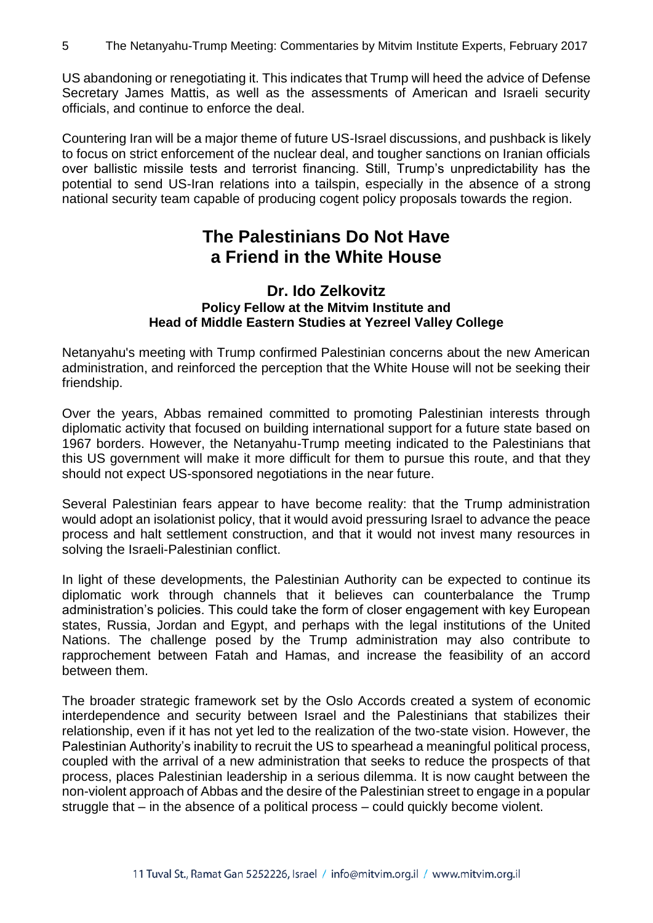US abandoning or renegotiating it. This indicates that Trump will heed the advice of Defense Secretary James Mattis, as well as the assessments of American and Israeli security officials, and continue to enforce the deal.

Countering Iran will be a major theme of future US-Israel discussions, and pushback is likely to focus on strict enforcement of the nuclear deal, and tougher sanctions on Iranian officials over ballistic missile tests and terrorist financing. Still, Trump's unpredictability has the potential to send US-Iran relations into a tailspin, especially in the absence of a strong national security team capable of producing cogent policy proposals towards the region.

## **The Palestinians Do Not Have a Friend in the White House**

#### **Dr. Ido Zelkovitz Policy Fellow at the Mitvim Institute and Head of Middle Eastern Studies at Yezreel Valley College**

Netanyahu's meeting with Trump confirmed Palestinian concerns about the new American administration, and reinforced the perception that the White House will not be seeking their friendship.

Over the years, Abbas remained committed to promoting Palestinian interests through diplomatic activity that focused on building international support for a future state based on 1967 borders. However, the Netanyahu-Trump meeting indicated to the Palestinians that this US government will make it more difficult for them to pursue this route, and that they should not expect US-sponsored negotiations in the near future.

Several Palestinian fears appear to have become reality: that the Trump administration would adopt an isolationist policy, that it would avoid pressuring Israel to advance the peace process and halt settlement construction, and that it would not invest many resources in solving the Israeli-Palestinian conflict.

In light of these developments, the Palestinian Authority can be expected to continue its diplomatic work through channels that it believes can counterbalance the Trump administration's policies. This could take the form of closer engagement with key European states, Russia, Jordan and Egypt, and perhaps with the legal institutions of the United Nations. The challenge posed by the Trump administration may also contribute to rapprochement between Fatah and Hamas, and increase the feasibility of an accord between them.

The broader strategic framework set by the Oslo Accords created a system of economic interdependence and security between Israel and the Palestinians that stabilizes their relationship, even if it has not yet led to the realization of the two-state vision. However, the Palestinian Authority's inability to recruit the US to spearhead a meaningful political process, coupled with the arrival of a new administration that seeks to reduce the prospects of that process, places Palestinian leadership in a serious dilemma. It is now caught between the non-violent approach of Abbas and the desire of the Palestinian street to engage in a popular struggle that – in the absence of a political process – could quickly become violent.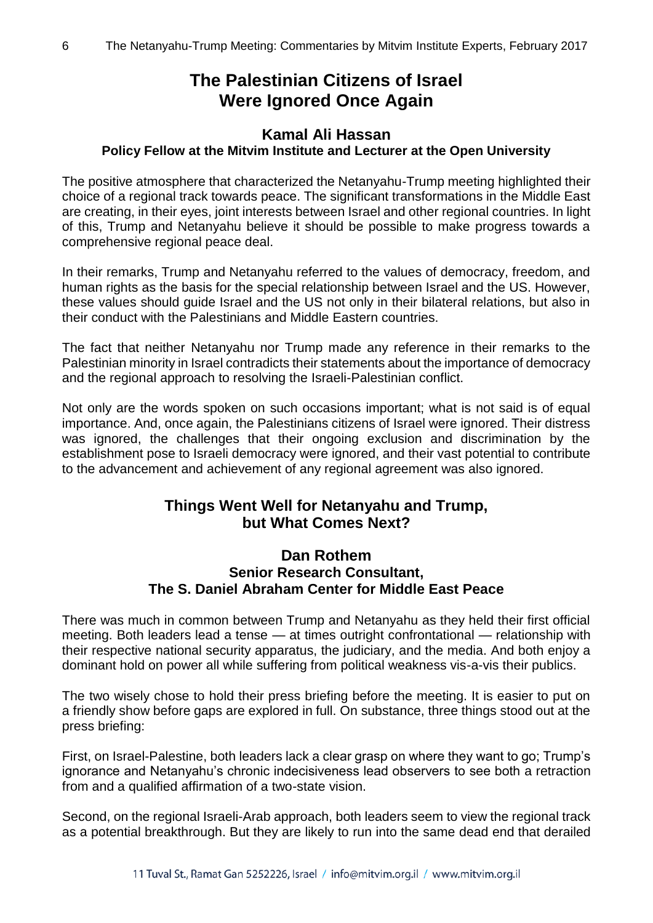## **The Palestinian Citizens of Israel Were Ignored Once Again**

#### **Kamal Ali Hassan Policy Fellow at the Mitvim Institute and Lecturer at the Open University**

The positive atmosphere that characterized the Netanyahu-Trump meeting highlighted their choice of a regional track towards peace. The significant transformations in the Middle East are creating, in their eyes, joint interests between Israel and other regional countries. In light of this, Trump and Netanyahu believe it should be possible to make progress towards a comprehensive regional peace deal.

In their remarks, Trump and Netanyahu referred to the values of democracy, freedom, and human rights as the basis for the special relationship between Israel and the US. However, these values should guide Israel and the US not only in their bilateral relations, but also in their conduct with the Palestinians and Middle Eastern countries.

The fact that neither Netanyahu nor Trump made any reference in their remarks to the Palestinian minority in Israel contradicts their statements about the importance of democracy and the regional approach to resolving the Israeli-Palestinian conflict.

Not only are the words spoken on such occasions important; what is not said is of equal importance. And, once again, the Palestinians citizens of Israel were ignored. Their distress was ignored, the challenges that their ongoing exclusion and discrimination by the establishment pose to Israeli democracy were ignored, and their vast potential to contribute to the advancement and achievement of any regional agreement was also ignored.

### **Things Went Well for Netanyahu and Trump, but What Comes Next?**

#### **Dan Rothem Senior Research Consultant, The S. Daniel Abraham Center for Middle East Peace**

There was much in common between Trump and Netanyahu as they held their first official meeting. Both leaders lead a tense — at times outright confrontational — relationship with their respective national security apparatus, the judiciary, and the media. And both enjoy a dominant hold on power all while suffering from political weakness vis-a-vis their publics.

The two wisely chose to hold their press briefing before the meeting. It is easier to put on a friendly show before gaps are explored in full. On substance, three things stood out at the press briefing:

First, on Israel-Palestine, both leaders lack a clear grasp on where they want to go; Trump's ignorance and Netanyahu's chronic indecisiveness lead observers to see both a retraction from and a qualified affirmation of a two-state vision.

Second, on the regional Israeli-Arab approach, both leaders seem to view the regional track as a potential breakthrough. But they are likely to run into the same dead end that derailed